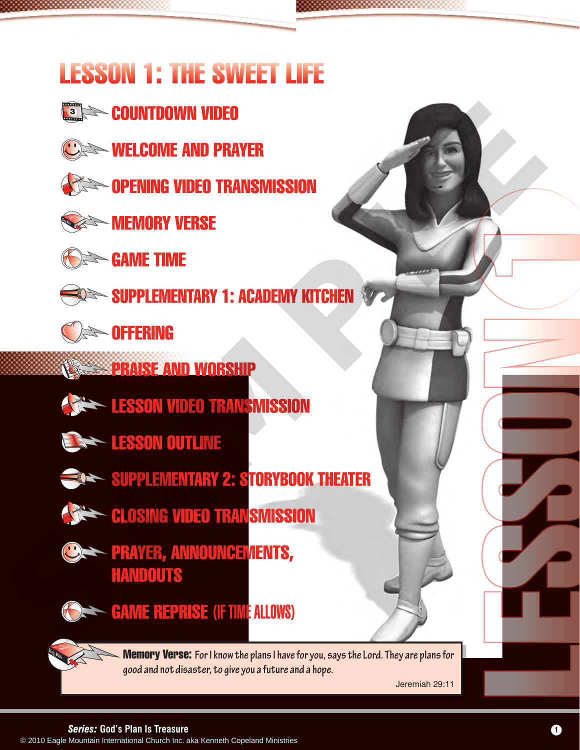## LESSON 1: THE SWEET LIFE

- **SING COUNTDOWN VIDEO**
- **WELCOME AND PRAYER**



**CEE OPENING VIDEO TRANSMISSION** 



**MEMORY VERSE** 



**Seame Time** 



SUPPLEMENTARY 1: ACADEMY KITCHEN





- **PRAISE AND WORSHIP** 
	- **LESSON VIDEO TRANSMISSION**



- **SUPPLEMENTARY 2: STORYBOOK THEATER**
- **CLOSING VIDEO TRANSMISSION**
- **CERTAIN PRAYER, ANNOUNCEMENTS, HANDOUTS**



**GAME REPRISE (IF TIME ALLOWS)** 

Memory Verse: **For I know the plans I have for you, says the Lord. They are plans for good and not disaster, to give you a future and a hope.**  EXAME THE CONDUCTRANSING SIDE CHURCH INTERNATIONAL CHURCH INTERNATIONAL CHURCH INC. ARRANGEMENT INTERNATIONAL CHURCH INTERNATIONAL CHURCH INC. ARRANGEMENT CHURCH INTERNATIONAL CHURCH INC. ARRANGEMENT COPER AND NOT TRANSFOR

Jeremiah 29:11

### *Series:* **God's Plan Is Treasure 1**

LESSON 1

ACADEMY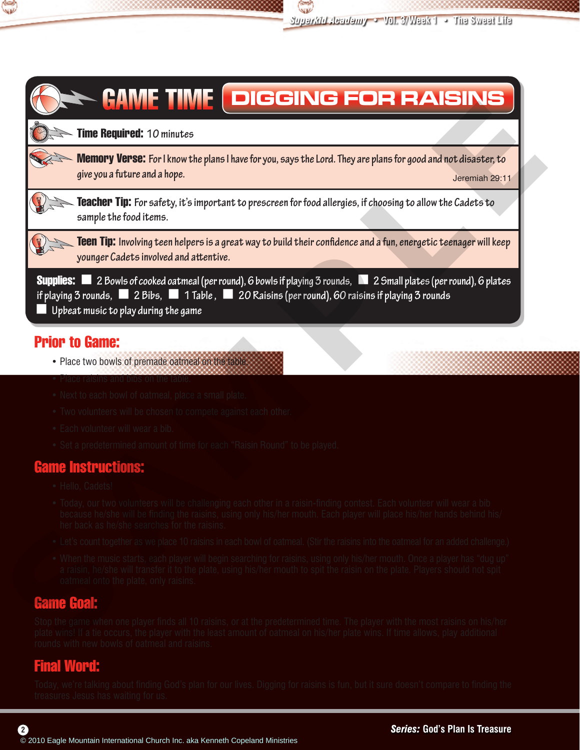



## GAME TIME **DIGGING FOR RAISINS**

Time Required: **10 minutes**

Memory Verse: **For I know the plans I have for you, says the Lord. They are plans for good and not disaster, to give you a future and a hope.** give you a future and a nope. The contract of the contract of the contract of the contract of the contract of the contract of the contract of the contract of the contract of the contract of the contract of the contract of

Teacher Tip: **For safety, it's important to prescreen for food allergies, if choosing to allow the Cadets to sample the food items.**

Teen Tip: **Involving teen helpers is a great way to build their confidence and a fun, energetic teenager will keep younger Cadets involved and attentive.**

Supplies: < **2 Bowls of cooked oatmeal (per round), 6 bowls if playing 3 rounds,**< **2 Small plates (per round), 6 plates if playing 3 rounds,**< **2 Bibs,** < **1 Table ,** < **20 Raisins (per round), 60 raisins if playing 3 rounds** < **Upbeat music to play during the game** Comparison to the the same of the comparison of the same international Church International Church International Church International Church International Church International Church International Church International Chu

## Prior to Game:

- Place two bowls of premade oatmeal on the table.
- Place raisins and bibs on the table.
- Next to each bowl of oatmeal, place a small plate.
- Two volunteers will be chosen to compete against each other.
- Each volunteer will wear a bib.
- Set a predetermined amount of time for each "Raisin Round" to be played.

## Game Instructions:

- Hello, Cadets!
- Today, our two volunteers will be challenging each other in a raisin-finding contest. Each volunteer will wear a bib because he/she will be finding the raisins, using only his/her mouth. Each player will place his/her hands behind his/ her back as he/she searches for the raisins.
- Let's count together as we place 10 raisins in each bowl of oatmeal. (Stir the raisins into the oatmeal for an added challenge.)
- When the music starts, each player will begin searching for raisins, using only his/her mouth. Once a player has "dug up" a raisin, he/she will transfer it to the plate, using his/her mouth to spit the raisin on the plate. Players should not spit oatmeal onto the plate, only raisins.

## Game Goal:

Stop the game when one player finds all 10 raisins, or at the predetermined time. The player with the most raisins on his/her plate wins! If a tie occurs, the player with the least amount of oatmeal on his/her plate wins. If time allows, play additional rounds with new bowls of oatmeal and raisins.

## Final Word:

**2**

Today, we're talking about finding God's plan for our lives. Digging for raisins is fun, but it sure doesn't compare to finding the treasures Jesus has waiting for us.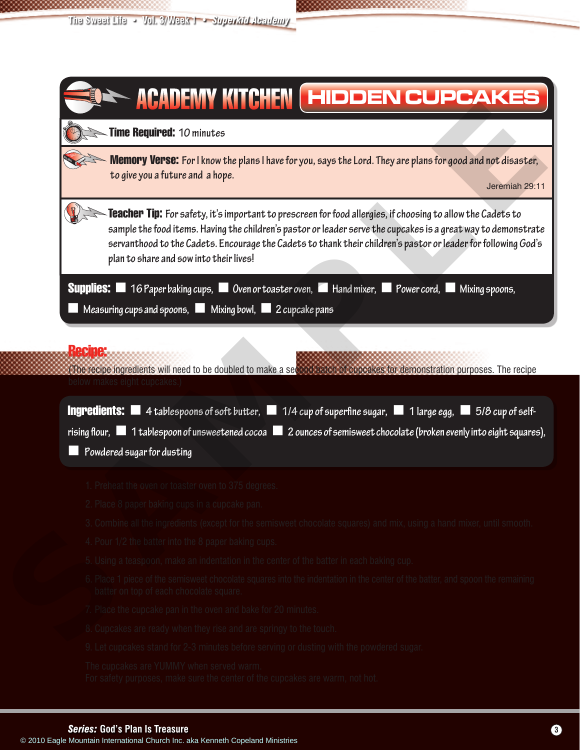

#### (The recipe ingredients will need to be doubled to make a second batch of cupcakes for demonstration purposes. The recipe below makes eight cupcakes.)

| <b>Ingredients:</b> $\blacksquare$ 4 tablespoons of soft butter, $\blacksquare$ 1/4 cup of superfine sugar, $\blacksquare$ 1 large egg, $\blacksquare$ 5/8 cup of self- |
|-------------------------------------------------------------------------------------------------------------------------------------------------------------------------|
| $\blacksquare$ 1 tablespoon of unsweetened cocoa $\blacksquare$ 2 ounces of semisweet chocolate (broken evenly into eight squares),                                     |
| $\blacksquare$ Powdered sugar for dusting                                                                                                                               |

1. Preheat the oven or toaster oven to 375 degrees.

- 2. Place 8 paper baking cups in a cupcake pan.
- 3. Combine all the ingredients (except for the semisweet chocolate squares) and mix, using a hand mixer, until smooth.
- 4. Pour 1/2 the batter into the 8 paper baking cups.
- 5. Using a teaspoon, make an indentation in the center of the batter in each baking cup.
- 6. Place 1 piece of the semisweet chocolate squares into the indentation in the center of the batter, and spoon the remaining batter on top of each chocolate square.
- 7. Place the cupcake pan in the oven and bake for 20 minutes.
- 8. Cupcakes are ready when they rise and are springy to the touch.
- 9. Let cupcakes stand for 2-3 minutes before serving or dusting with the powdered sugar.

The cupcakes are YUMMY when served warm. For safety purposes, make sure the center of the cupcakes are warm, not hot. **CADEM**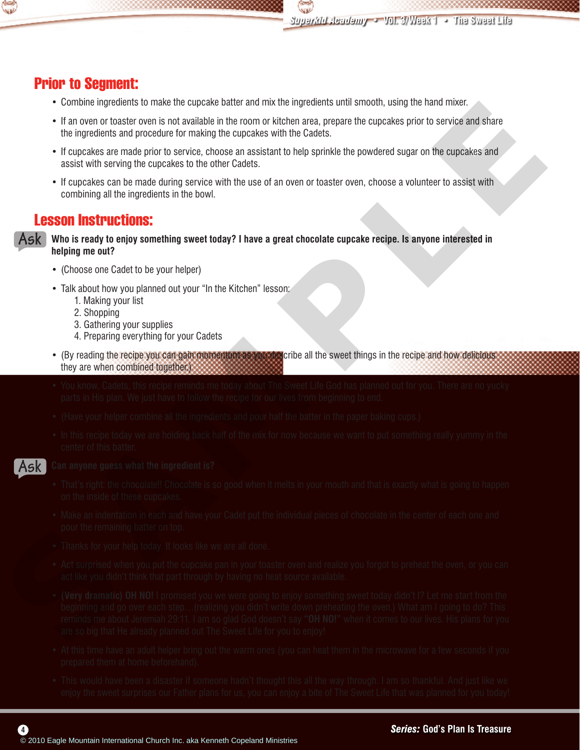

## Prior to Segment:

- Combine ingredients to make the cupcake batter and mix the ingredients until smooth, using the hand mixer.
- If an oven or toaster oven is not available in the room or kitchen area, prepare the cupcakes prior to service and share the ingredients and procedure for making the cupcakes with the Cadets.
- If cupcakes are made prior to service, choose an assistant to help sprinkle the powdered sugar on the cupcakes and assist with serving the cupcakes to the other Cadets.
- If cupcakes can be made during service with the use of an oven or toaster oven, choose a volunteer to assist with combining all the ingredients in the bowl.

### Lesson Instructions:

**Who is ready to enjoy something sweet today? I have a great chocolate cupcake recipe. Is anyone interested in helping me out? Ask**

- (Choose one Cadet to be your helper)
- Talk about how you planned out your "In the Kitchen" lesson:
	- 1. Making your list
	- 2. Shopping
	- 3. Gathering your supplies
	- 4. Preparing everything for your Cadets
- (By reading the recipe you can gain momentum as you describe all the sweet things in the recipe and how delicious they are when combined together.)
- You know, Cadets, this recipe reminds me today about The Sweet Life God has planned out for you. There are no yucky parts in His plan. We just have to follow the recipe for our lives from beginning to end.
- (Have your helper combine all the ingredients and pour half the batter in the paper baking cups.)
- In this recipe today we are holding back half of the mix for now because we want to put something really yummy in the center of this batter.



#### **Can anyone guess what the ingredient is?**

- That's right: the chocolate!! Chocolate is so good when it melts in your mouth and that is exactly what is going to happen on the inside of these cupcakes.
- Make an indentation in each and have your Cadet put the individual pieces of chocolate in the center of each one and pour the remaining batter on top.
- Thanks for your help today. It looks like we are all done.
- Act surprised when you put the cupcake pan in your toaster oven and realize you forgot to preheat the oven, or you can act like you didn't think that part through by having no heat source available.
- **(Very dramatic) OH NO!** I promised you we were going to enjoy something sweet today didn't I? Let me start from the beginning and go over each step…(realizing you didn't write down preheating the oven.) What am I going to do? This reminds me about Jeremiah 29:11. I am so glad God doesn't say **"OH NO!"** when it comes to our lives. His plans for you are so big that He already planned out The Sweet Life for you to enjoy! • The mean of taxes and production international the international church International Church International Church International Church International Church International Church International Church International Church
	- At this time have an adult helper bring out the warm ones (you can heat them in the microwave for a few seconds if you prepared them at home beforehand).
	- This would have been a disaster if someone hadn't thought this all the way through. I am so thankful. And just like we enjoy the sweet surprises our Father plans for us, you can enjoy a bite of The Sweet Life that was planned for you today!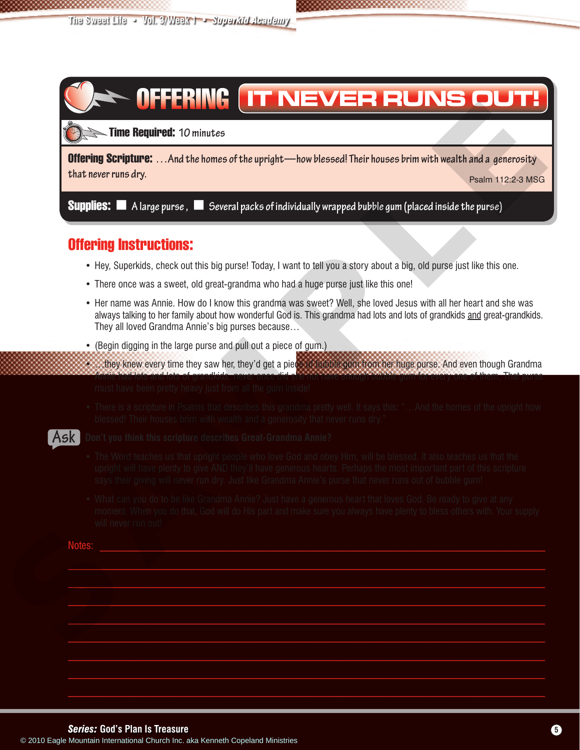# **IT NEVER RUNS OUT!**

Time Required: **10 minutes <sup>60</sup> <sup>5</sup>**

Offering Scripture: **…And the homes of the upright—how blessed! Their houses brim with wealth and a generosity that never runs dry.** Psalm 112:2-3 MSG

**Supplies:**  $\blacksquare$  A large purse,  $\blacksquare$  Several packs of individually wrapped bubble gum (placed inside the purse)

### Offering Instructions:

- Hey, Superkids, check out this big purse! Today, I want to tell you a story about a big, old purse just like this one.
- There once was a sweet, old great-grandma who had a huge purse just like this one!
- Her name was Annie. How do I know this grandma was sweet? Well, she loved Jesus with all her heart and she was always talking to her family about how wonderful God is. This grandma had lots and lots of grandkids and great-grandkids. They all loved Grandma Annie's big purses because… **Considered.** The **Bequired.** To mindent and the springle t-how benefit Their beacons bein with weight and international Church International Church Institute Church International Church International Church International
	- (Begin digging in the large purse and pull out a piece of gum.)
	- …they knew every time they saw her, they'd get a piece of bubble gum from her huge purse. And even though Grandma Annie had lots and lots of grandkids, never once did she not have enough bubble gum for every one of them. That purse must have been pretty heavy just from all the gum inside!
	- There is a scripture in Psalms that describes this grandma pretty well. It says this: "…And the homes of the upright how blessed! Their houses brim with wealth and a generosity that never runs dry."

#### **Don't you think this scripture describes Great-Grandma Annie? Ask**

- The Word teaches us that upright people who love God and obey Him, will be blessed. It also teaches us that the upright will have plenty to give AND they'll have generous hearts. Perhaps the most important part of this scripture says their giving will never run dry. Just like Grandma Annie's purse that never runs out of bubble gum!
- What can you do to be like Grandma Annie? Just have a generous heart that loves God. Be ready to give at any moment. When you do that, God will do His part and make sure you always have plenty to bless others with. Your supply will never run out!

 $\mathcal{L}=\{z\in\mathcal{L}^{\mathcal{M}}:z\in\mathcal{L}^{\mathcal{M}}:z\in\mathcal{L}^{\mathcal{M}}:z\in\mathcal{L}^{\mathcal{M}}:z\in\mathcal{L}^{\mathcal{M}}:z\in\mathcal{L}^{\mathcal{M}}:z\in\mathcal{L}^{\mathcal{M}}:z\in\mathcal{L}^{\mathcal{M}}:z\in\mathcal{L}^{\mathcal{M}}:z\in\mathcal{L}^{\mathcal{M}}:z\in\mathcal{L}^{\mathcal{M}}:z\in\mathcal{L}^{\mathcal{M}}:z\in\mathcal{L$  $\mathcal{L}=\mathcal{L}=\mathcal{L}=\mathcal{L}=\mathcal{L}=\mathcal{L}=\mathcal{L}=\mathcal{L}=\mathcal{L}=\mathcal{L}=\mathcal{L}=\mathcal{L}=\mathcal{L}=\mathcal{L}=\mathcal{L}=\mathcal{L}=\mathcal{L}=\mathcal{L}=\mathcal{L}=\mathcal{L}=\mathcal{L}=\mathcal{L}=\mathcal{L}=\mathcal{L}=\mathcal{L}=\mathcal{L}=\mathcal{L}=\mathcal{L}=\mathcal{L}=\mathcal{L}=\mathcal{L}=\mathcal{L}=\mathcal{L}=\mathcal{L}=\mathcal{L}=\mathcal{L}=\mathcal{$  $\mathcal{L}=\mathcal{L}=\mathcal{L}=\mathcal{L}=\mathcal{L}=\mathcal{L}=\mathcal{L}=\mathcal{L}=\mathcal{L}=\mathcal{L}=\mathcal{L}=\mathcal{L}=\mathcal{L}=\mathcal{L}=\mathcal{L}=\mathcal{L}=\mathcal{L}=\mathcal{L}=\mathcal{L}=\mathcal{L}=\mathcal{L}=\mathcal{L}=\mathcal{L}=\mathcal{L}=\mathcal{L}=\mathcal{L}=\mathcal{L}=\mathcal{L}=\mathcal{L}=\mathcal{L}=\mathcal{L}=\mathcal{L}=\mathcal{L}=\mathcal{L}=\mathcal{L}=\mathcal{L}=\mathcal{$  $\mathcal{L}_\mathcal{L} = \mathcal{L}_\mathcal{L} = \mathcal{L}_\mathcal{L} = \mathcal{L}_\mathcal{L} = \mathcal{L}_\mathcal{L} = \mathcal{L}_\mathcal{L} = \mathcal{L}_\mathcal{L} = \mathcal{L}_\mathcal{L} = \mathcal{L}_\mathcal{L} = \mathcal{L}_\mathcal{L} = \mathcal{L}_\mathcal{L} = \mathcal{L}_\mathcal{L} = \mathcal{L}_\mathcal{L} = \mathcal{L}_\mathcal{L} = \mathcal{L}_\mathcal{L} = \mathcal{L}_\mathcal{L} = \mathcal{L}_\mathcal{L}$  $\mathcal{L}_\mathcal{L} = \mathcal{L}_\mathcal{L} = \mathcal{L}_\mathcal{L} = \mathcal{L}_\mathcal{L} = \mathcal{L}_\mathcal{L} = \mathcal{L}_\mathcal{L} = \mathcal{L}_\mathcal{L} = \mathcal{L}_\mathcal{L} = \mathcal{L}_\mathcal{L} = \mathcal{L}_\mathcal{L} = \mathcal{L}_\mathcal{L} = \mathcal{L}_\mathcal{L} = \mathcal{L}_\mathcal{L} = \mathcal{L}_\mathcal{L} = \mathcal{L}_\mathcal{L} = \mathcal{L}_\mathcal{L} = \mathcal{L}_\mathcal{L}$ \_\_\_\_\_\_\_\_\_\_\_\_\_\_\_\_\_\_\_\_\_\_\_\_\_\_\_\_\_\_\_\_\_\_\_\_\_\_\_\_\_\_\_\_\_\_\_\_\_\_\_\_\_\_\_\_\_\_\_\_\_\_\_\_\_\_\_\_\_\_\_\_\_\_\_\_\_\_\_\_\_\_\_\_\_\_\_\_\_\_\_\_\_\_ \_\_\_\_\_\_\_\_\_\_\_\_\_\_\_\_\_\_\_\_\_\_\_\_\_\_\_\_\_\_\_\_\_\_\_\_\_\_\_\_\_\_\_\_\_\_\_\_\_\_\_\_\_\_\_\_\_\_\_\_\_\_\_\_\_\_\_\_\_\_\_\_\_\_\_\_\_\_\_\_\_\_\_\_\_\_\_\_\_\_\_\_\_\_  $\_$  ,  $\_$  ,  $\_$  ,  $\_$  ,  $\_$  ,  $\_$  ,  $\_$  ,  $\_$  ,  $\_$  ,  $\_$  ,  $\_$  ,  $\_$  ,  $\_$  ,  $\_$  ,  $\_$  ,  $\_$  ,  $\_$  ,  $\_$  ,  $\_$  ,  $\_$  ,  $\_$  ,  $\_$  ,  $\_$  ,  $\_$  ,  $\_$  ,  $\_$  ,  $\_$  ,  $\_$  ,  $\_$  ,  $\_$  ,  $\_$  ,  $\_$  ,  $\_$  ,  $\_$  ,  $\_$  ,  $\_$  ,  $\_$  ,

Notes: \_\_\_\_\_\_\_\_\_\_\_\_\_\_\_\_\_\_\_\_\_\_\_\_\_\_\_\_\_\_\_\_\_\_\_\_\_\_\_\_\_\_\_\_\_\_\_\_\_\_\_\_\_\_\_\_\_\_\_\_\_\_\_\_\_\_\_\_\_\_\_\_\_\_\_\_\_\_\_\_\_\_\_\_\_\_\_\_\_\_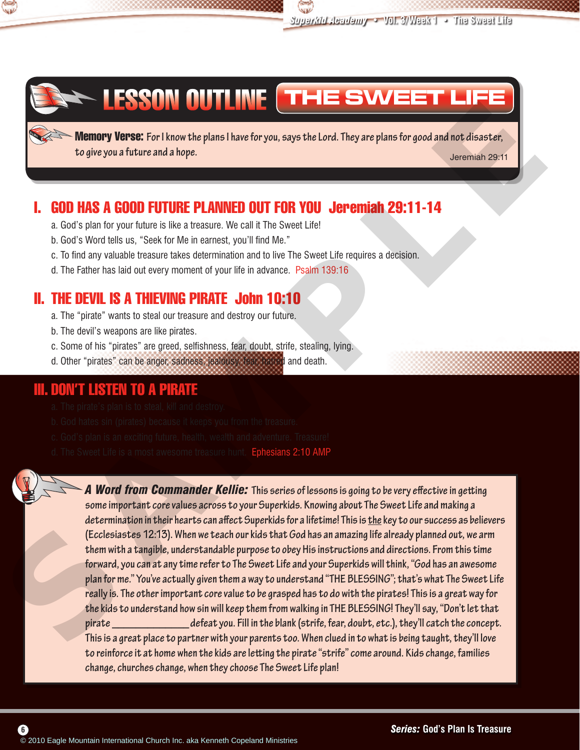



## LESSON OUTLINE **THE SWEET LIFE**

Memory Verse: **For I know the plans I have for you, says the Lord. They are plans for good and not disaster, to give you a future and a hope.** Jeremiah 29:11

## I. GOD HAS A GOOD FUTURE PLANNED OUT FOR YOU Jeremiah 29:11-14

- a. God's plan for your future is like a treasure. We call it The Sweet Life!
- b. God's Word tells us, "Seek for Me in earnest, you'll find Me."
- c. To find any valuable treasure takes determination and to live The Sweet Life requires a decision.
- d. The Father has laid out every moment of your life in advance. Psalm 139:16

## II. THE DEVIL IS A THIEVING PIRATE John 10:10

- a. The "pirate" wants to steal our treasure and destroy our future.
- b. The devil's weapons are like pirates.
- c. Some of his "pirates" are greed, selfishness, fear, doubt, strife, stealing, lying.
- d. Other "pirates" can be anger, sadness, jealousy, fear, hatred and death.

### III. DON'T LISTEN TO A PIRATE

- a. The pirate's plan is to steal, kill and destroy.
- b. God hates sin (pirates) because it keeps you from the treasure.
- c. God's plan is an exciting future, health, wealth and adventure. Treasure!
- d. The Sweet Life is a most awesome treasure hunt. Ephesians 2:10 AMP



*A Word from Commander Kellie:* **This series of lessons is going to be very effective in getting some important core values across to your Superkids. Knowing about The Sweet Life and making a determination in their hearts can affect Superkids for a lifetime! This is the key to our success as believers (Ecclesiastes 12:13). When we teach our kids that God has an amazing life already planned out, we arm them with a tangible, understandable purpose to obey His instructions and directions. From this time forward, you can at any time refer to The Sweet Life and your Superkids will think, "God has an awesome plan for me." You've actually given them a way to understand "THE BLESSING"; that's what The Sweet Life really is. The other important core value to be grasped has to do with the pirates! This is a great way for the kids to understand how sin will keep them from walking in THE BLESSING! They'll say, "Don't let that pirate \_\_\_\_\_\_\_\_\_\_\_\_\_ defeat you. Fill in the blank (strife, fear, doubt, etc.), they'll catch the concept. This is a great place to partner with your parents too. When clued in to what is being taught, they'll love to reinforce it at home when the kids are letting the pirate "strife" come around. Kids change, families change, churches change, when they choose The Sweet Life plan!** Software the Hanneth Computer Content and the Society of the Church International Church International Church International Church International Church International Church International Church International Church Intern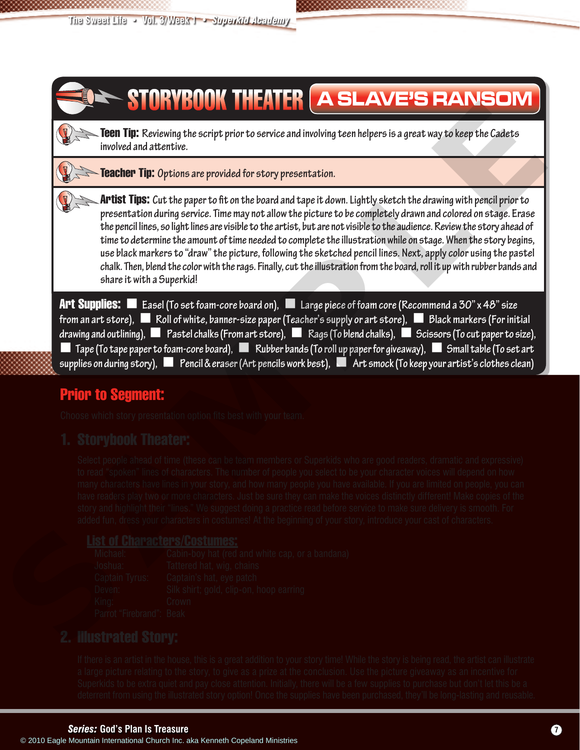

## Prior to Segment:

Choose which story presentation option fits best with your team.

## 1. Storybook Theater:

Select people ahead of time (these can be team members or Superkids who are good readers, dramatic and expressive) to read "spoken" lines of characters. The number of people you select to be your character voices will depend on how many characters have lines in your story, and how many people you have available. If you are limited on people, you can have readers play two or more characters. Just be sure they can make the voices distinctly different! Make copies of the story and highlight their "lines." We suggest doing a practice read before service to make sure delivery is smooth. For added fun, dress your characters in costumes! At the beginning of your story, introduce your cast of characters.

## **List of Characters/Costumes:**<br>Michael: Cabin-boy hat (red

Cabin-boy hat (red and white cap, or a bandana) Joshua: Tattered hat, wig, chains Captain Tyrus: Captain's hat, eye patch Deven: Silk shirt; gold, clip-on, hoop earring King: Crown Parrot "Firebrand": Beak

## 2. Illustrated Story:

If there is an artist in the house, this is a great addition to your story time! While the story is being read, the artist can illustrate a large picture relating to the story, to give as a prize at the conclusion. Use the picture giveaway as an incentive for Superkids to be extra quiet and pay close attention. Initially, there will be a few supplies to purchase but don't let this be a deterrent from using the illustrated story option! Once the supplies have been purchased, they'll be long-lasting and reusable.

#### *Series:* **God's Plan Is Treasure 7**

CADEM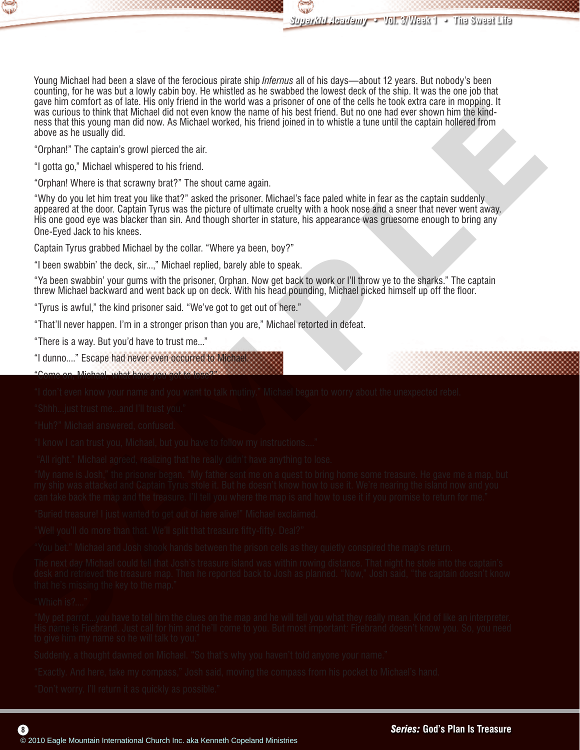

Young Michael had been a slave of the ferocious pirate ship *Infernus* all of his days—about 12 years. But nobody's been counting, for he was but a lowly cabin boy. He whistled as he swabbed the lowest deck of the ship. It was the one job that gave him comfort as of late. His only friend in the world was a prisoner of one of the cells he took extra care in mopping. It was curious to think that Michael did not even know the name of his best friend. But no one had ever shown him the kindness that this young man did now. As Michael worked, his friend joined in to whistle a tune until the captain hollered from above as he usually did.

"Orphan!" The captain's growl pierced the air.

"I gotta go," Michael whispered to his friend.

"Orphan! Where is that scrawny brat?" The shout came again.

"Why do you let him treat you like that?" asked the prisoner. Michael's face paled white in fear as the captain suddenly appeared at the door. Captain Tyrus was the picture of ultimate cruelty with a hook nose and a sneer that never went away. His one good eye was blacker than sin. And though shorter in stature, his appearance was gruesome enough to bring any One-Eyed Jack to his knees. There were total to the source of the sole of the sole of the sole of the sole of the sole of the sole of the sole of the sole of the sole of the sole of the sole of the sole of the sole of the sole of the sole of the sole

Captain Tyrus grabbed Michael by the collar. "Where ya been, boy?"

"I been swabbin' the deck, sir...," Michael replied, barely able to speak.

"Ya been swabbin' your gums with the prisoner, Orphan. Now get back to work or I'll throw ye to the sharks." The captain threw Michael backward and went back up on deck. With his head pounding, Michael picked himself up off the floor.

"Tyrus is awful," the kind prisoner said. "We've got to get out of here."

"That'll never happen. I'm in a stronger prison than you are," Michael retorted in defeat.

"There is a way. But you'd have to trust me..."

"I dunno...." Escape had never even occurred to Michael.

"Come on, Michael, what have you got to lose?"

"I don't even know your name and you want to talk mutiny." Michael began to worry about the unexpected rebel.

"Shhh...just trust me...and I'll trust you."

"Huh?" Michael answered, confused.

"I know I can trust you, Michael, but you have to follow my instructions...."

"All right." Michael agreed, realizing that he really didn't have anything to lose.

"My name is Josh," the prisoner began. "My father sent me on a quest to bring home some treasure. He gave me a map, but my ship was attacked and Captain Tyrus stole it. But he doesn't know how to use it. We're nearing the island now and you can take back the map and the treasure. I'll tell you where the map is and how to use it if you promise to return for me."

"Buried treasure! I just wanted to get out of here alive!" Michael exclaimed.

"Well you'll do more than that. We'll split that treasure fifty-fifty. Deal?"

"You bet." Michael and Josh shook hands between the prison cells as they quietly conspired the map's return.

The next day Michael could tell that Josh's treasure island was within rowing distance. That night he stole into the captain's desk and retrieved the treasure map. Then he reported back to Josh as planned. "Now," Josh said, "the captain doesn't know that he's missing the key to the map."

#### "Which is?...."

**8**

"My pet parrot...you have to tell him the clues on the map and he will tell you what they really mean. Kind of like an interpreter. His name is Firebrand. Just call for him and he'll come to you. But most important: Firebrand doesn't know you. So, you need to give him my name so he will talk to you."

Suddenly, a thought dawned on Michael. "So that's why you haven't told anyone your name."

"Exactly. And here, take my compass," Josh said, moving the compass from his pocket to Michael's hand.

"Don't worry. I'll return it as quickly as possible."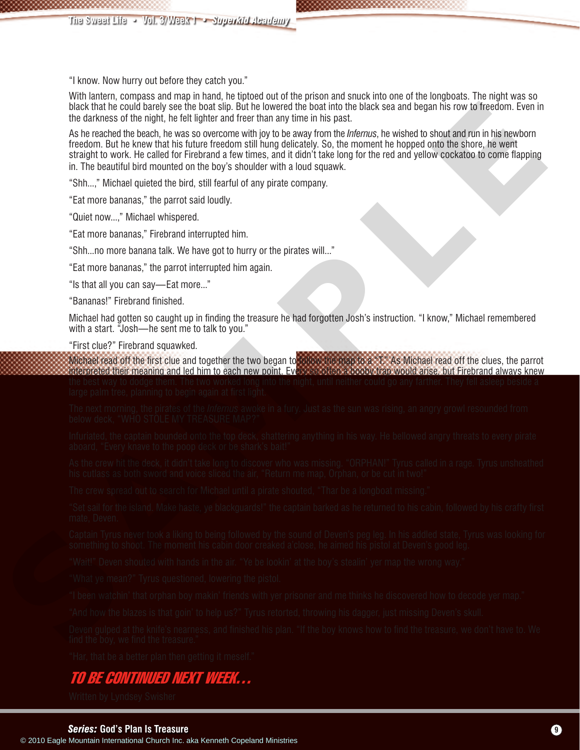"I know. Now hurry out before they catch you."

With lantern, compass and map in hand, he tiptoed out of the prison and snuck into one of the longboats. The night was so black that he could barely see the boat slip. But he lowered the boat into the black sea and began his row to freedom. Even in the darkness of the night, he felt lighter and freer than any time in his past.

As he reached the beach, he was so overcome with joy to be away from the *Infernus*, he wished to shout and run in his newborn freedom. But he knew that his future freedom still hung delicately. So, the moment he hopped onto the shore, he went straight to work. He called for Firebrand a few times, and it didn't take long for the red and yellow cockatoo to come flapping in. The beautiful bird mounted on the boy's shoulder with a loud squawk. The more to the state of the state of the state of the state of the state of the state of the state of the state of the state of the state of the state of the state of the state of the state of the state of the state of th

"Shh...," Michael quieted the bird, still fearful of any pirate company.

"Eat more bananas," the parrot said loudly.

"Quiet now...," Michael whispered.

"Eat more bananas," Firebrand interrupted him.

"Shh...no more banana talk. We have got to hurry or the pirates will..."

"Eat more bananas," the parrot interrupted him again.

"Is that all you can say—Eat more..."

"Bananas!" Firebrand finished.

Michael had gotten so caught up in finding the treasure he had forgotten Josh's instruction. "I know," Michael remembered with a start. "Josh-he sent me to talk to you."

"First clue?" Firebrand squawked.

Michael read off the first clue and together the two began to follow the map to a "T." As Michael read off the clues, the parrot interpreted their meaning and led him to each new point. Every so often a booby trap would arise, but Firebrand always knew the best way to dodge them. The two worked long into the night, until neither could go any farther. They fell asleep beside a large palm tree, planning to begin again at first light.

The next morning, the pirates of the *Infernus* awoke in a fury. Just as the sun was rising, an angry growl resounded from below deck, "WHO STOLE MY TREASURE MAP?"

Infuriated, the captain bounded onto the top deck, shattering anything in his way. He bellowed angry threats to every pirate aboard, "Every knave to the poop deck or be shark's bait!"

As the crew hit the deck, it didn't take long to discover who was missing. "ORPHAN!" Tyrus called in a rage. Tyrus unsheathed his cutlass as both sword and voice sliced the air, "Return me map, Orphan, or be cut in two!"

The crew spread out to search for Michael until a pirate shouted, "Thar be a longboat missing."

"Set sail for the island. Make haste, ye blackguards!" the captain barked as he returned to his cabin, followed by his crafty first mate, Deven.

Captain Tyrus never took a liking to being followed by the sound of Deven's peg leg. In his addled state, Tyrus was looking for something to shoot. The moment his cabin door creaked a'close, he aimed his pistol at Deven's good leg.

"Wait!" Deven shouted with hands in the air. "Ye be lookin' at the boy's stealin' yer map the wrong way."

"What ye mean?" Tyrus questioned, lowering the pistol.

"I been watchin' that orphan boy makin' friends with yer prisoner and me thinks he discovered how to decode yer map."

"And how the blazes is that goin' to help us?" Tyrus retorted, throwing his dagger, just missing Deven's skull.

Deven gulped at the knife's nearness, and finished his plan. "If the boy knows how to find the treasure, we don't have to. We find the boy, we find the treasure."

"Har, that be a better plan then getting it meself."

## TO BE CONTINUED NEXT WEEK…

Written by Lyndsey Swisher

CADEMY